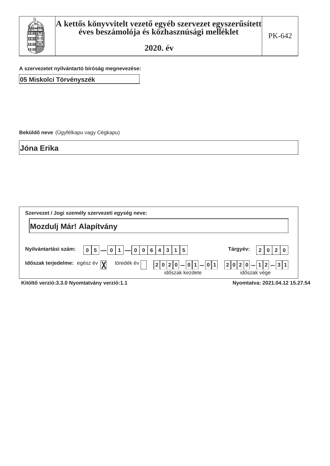

A szervezetet nyilvántartó bíróság megnevezése:

05 Miskolci Törvényszék

Beküldő neve (Ügyfélkapu vagy Cégkapu)

**Jóna Erika** 

| Szervezet / Jogi személy szervezeti egység neve:                                                                            |                                       |  |  |  |  |
|-----------------------------------------------------------------------------------------------------------------------------|---------------------------------------|--|--|--|--|
| <b>Mozdulj Már! Alapítvány</b>                                                                                              |                                       |  |  |  |  |
| Nyilvántartási szám:<br>0 1<br> 4 3 1 <br>$5\phantom{1}$<br>6 <br>l 5<br>0 <sup>1</sup><br>0 0                              | Tárgyév:<br>2 0<br>$\overline{2}$     |  |  |  |  |
| töredék év<br>Időszak terjedelme: egész év $\overline{Y}$<br>$ 0 1 $ - $ 0 1$<br> 0 2 <br>2 <sup>1</sup><br>időszak kezdete | $ 1 2 -3 1$<br>2 0 2 <br>időszak vége |  |  |  |  |

Kitöltő verzió:3.3.0 Nyomtatvány verzió:1.1 **best a magazitat a magyar a magyar kit**öltő verzió:3.3.0 Nyomtatvány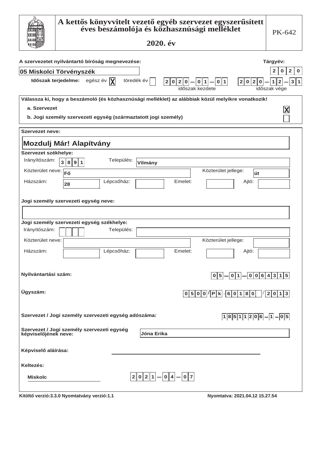|                        | A kettős könyvvitelt vezető egyéb szervezet egyszerűsített<br>éves beszámolója és közhasznúsági melléklet<br>2020. év            | PK-642                                             |
|------------------------|----------------------------------------------------------------------------------------------------------------------------------|----------------------------------------------------|
|                        | A szervezetet nyilvántartó bíróság megnevezése:                                                                                  | Tárgyév:                                           |
|                        | <b>05 Miskolci Törvényszék</b>                                                                                                   | $\mathbf{2}$<br>$\mathbf 0$<br>$\overline{2}$<br>0 |
|                        | Időszak terjedelme: egész év $ \mathbf{X} $<br>töredék év<br>0 1 <br>2 0 <br> 2 0 <br>2 0 2 0<br>  0  <br> 1 <br>időszak kezdete | 3 1<br>1<br>$\mathbf{2}$<br>időszak vége           |
|                        | Válassza ki, hogy a beszámoló (és közhasznúsági melléklet) az alábbiak közül melyikre vonatkozik!                                |                                                    |
| a. Szervezet           |                                                                                                                                  | X                                                  |
|                        | b. Jogi személy szervezeti egység (származtatott jogi személy)                                                                   |                                                    |
| <b>Szervezet neve:</b> |                                                                                                                                  |                                                    |
|                        | Mozdulj Már! Alapítvány                                                                                                          |                                                    |
| Szervezet székhelye:   |                                                                                                                                  |                                                    |
| Irányítószám:          | Település:<br>$\overline{3}$<br>8 9 1<br>Vilmány                                                                                 |                                                    |
| Közterület neve: Fő    | Közterület jellege:<br>út                                                                                                        |                                                    |
| Házszám:               | Lépcsőház:<br>Emelet:<br>Ajtó:<br>28                                                                                             |                                                    |
|                        | Jogi személy szervezeti egység neve:                                                                                             |                                                    |
|                        | Jogi személy szervezeti egység székhelye:                                                                                        |                                                    |
| Irányítószám:          | Település:                                                                                                                       |                                                    |
| Közterület neve:       | Közterület jellege:                                                                                                              |                                                    |
| Házszám:               | Lépcsőház:<br>Emelet:<br>Ajtó:                                                                                                   |                                                    |
| Nyilvántartási szám:   | $\boxed{0\,5 - 0\,1 - 0\,0\,6\,4\,3\,1\,5}$                                                                                      |                                                    |
| Ügyszám:               | $ 0 5 0 0 / P k \cdot 6 0 1 8 0 $                                                                                                | $\vert 2 \vert 0 \vert 1 \vert 3 \vert$            |
|                        | Szervezet / Jogi személy szervezeti egység adószáma:<br>$18511206 - 1 - 05$                                                      |                                                    |
|                        | Szervezet / Jogi személy szervezeti egység<br>képviselőjének neve:<br>Jóna Erika                                                 |                                                    |
| Képviselő aláírása:    |                                                                                                                                  |                                                    |
| Keltezés:              |                                                                                                                                  |                                                    |
| <b>Miskolc</b>         | $ 2 0 2 1  -  0 4  -  0 7 $                                                                                                      |                                                    |
|                        | Kitöltő verzió:3.3.0 Nyomtatvány verzió:1.1<br>Nyomtatva: 2021.04.12 15.27.54                                                    |                                                    |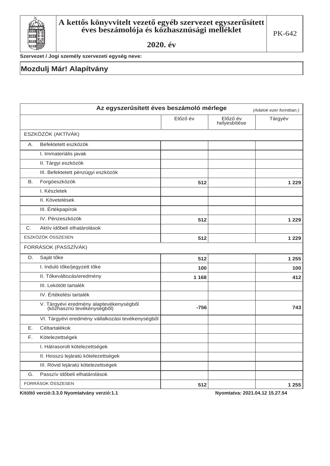

Szervezet / Jogi személy szervezeti egység neve:

#### **Mozdulj Már! Alapítvány**

|    | Az egyszerűsített éves beszámoló mérlege<br>(Adatok ezer forintban.)  |          |                          |         |  |
|----|-----------------------------------------------------------------------|----------|--------------------------|---------|--|
|    |                                                                       | Előző év | Előző év<br>helyesbítése | Tárgyév |  |
|    | ESZKÖZÖK (AKTÍVÁK)                                                    |          |                          |         |  |
| Α. | Befektetett eszközök                                                  |          |                          |         |  |
|    | I. Immateriális javak                                                 |          |                          |         |  |
|    | II. Tárgyi eszközök                                                   |          |                          |         |  |
|    | III. Befektetett pénzügyi eszközök                                    |          |                          |         |  |
| В. | Forgóeszközök                                                         | 512      |                          | 1 2 2 9 |  |
|    | I. Készletek                                                          |          |                          |         |  |
|    | II. Követelések                                                       |          |                          |         |  |
|    | III. Értékpapírok                                                     |          |                          |         |  |
|    | IV. Pénzeszközök                                                      | 512      |                          | 1 2 2 9 |  |
| C. | Aktív időbeli elhatárolások                                           |          |                          |         |  |
|    | ESZKÖZÖK ÖSSZESEN                                                     | 512      |                          | 1 2 2 9 |  |
|    | FORRÁSOK (PASSZÍVÁK)                                                  |          |                          |         |  |
| D. | Saját tőke                                                            | 512      |                          | 1 2 5 5 |  |
|    | I. Induló tőke/jegyzett tőke                                          | 100      |                          | 100     |  |
|    | II. Tőkeváltozás/eredmény                                             | 1 1 6 8  |                          | 412     |  |
|    | III. Lekötött tartalék                                                |          |                          |         |  |
|    | IV. Értékelési tartalék                                               |          |                          |         |  |
|    | V. Tárgyévi eredmény alaptevékenységből<br>(közhasznú tevékenységből) | $-756$   |                          | 743     |  |
|    | VI. Tárgyévi eredmény vállalkozási tevékenységből                     |          |                          |         |  |
| Е. | Céltartalékok                                                         |          |                          |         |  |
| F. | Kötelezettségek                                                       |          |                          |         |  |
|    | I. Hátrasorolt kötelezettségek                                        |          |                          |         |  |
|    | II. Hosszú lejáratú kötelezettségek                                   |          |                          |         |  |
|    | III. Rövid lejáratú kötelezettségek                                   |          |                          |         |  |
| G. | Passzív időbeli elhatárolások                                         |          |                          |         |  |
|    | FORRÁSOK ÖSSZESEN                                                     | 512      |                          | 1 2 5 5 |  |

Kitöltő verzió:3.3.0 Nyomtatvány verzió:1.1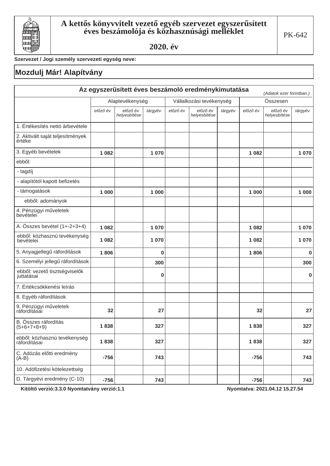

Szervezet / Jogi személy szervezeti egység neve:

## Mozdulj Már! Alapítvány

| Az egyszerűsített éves beszámoló eredménykimutatása<br>(Adatok ezer forintban.) |                 |                          |          |                          |                          |         |          |                          |             |
|---------------------------------------------------------------------------------|-----------------|--------------------------|----------|--------------------------|--------------------------|---------|----------|--------------------------|-------------|
|                                                                                 | Alaptevékenység |                          |          | Vállalkozási tevékenység |                          |         | Összesen |                          |             |
|                                                                                 | előző év        | előző év<br>helyesbítése | tárgyév  | előző év                 | előző év<br>helyesbítése | tárgyév | előző év | előző év<br>helyesbítése | tárgyév     |
| 1. Értékesítés nettó árbevétele                                                 |                 |                          |          |                          |                          |         |          |                          |             |
| 2. Aktivált saját teljesítmények<br>értéke                                      |                 |                          |          |                          |                          |         |          |                          |             |
| 3. Egyéb bevételek                                                              | 1 0 8 2         |                          | 1 0 7 0  |                          |                          |         | 1 0 8 2  |                          | 1070        |
| ebből:                                                                          |                 |                          |          |                          |                          |         |          |                          |             |
| - tagdíj                                                                        |                 |                          |          |                          |                          |         |          |                          |             |
| - alapítótól kapott befizetés                                                   |                 |                          |          |                          |                          |         |          |                          |             |
| - támogatások                                                                   | 1 0 0 0         |                          | 1 0 0 0  |                          |                          |         | 1 0 0 0  |                          | 1 0 0 0     |
| ebből: adományok                                                                |                 |                          |          |                          |                          |         |          |                          |             |
| 4. Pénzügyi műveletek<br>bevételei                                              |                 |                          |          |                          |                          |         |          |                          |             |
| A. Összes bevétel (1+-2+3+4)                                                    | 1082            |                          | 1070     |                          |                          |         | 1 0 8 2  |                          | 1070        |
| ebből: közhasznú tevékenység<br>bevételei                                       | 1082            |                          | 1070     |                          |                          |         | 1082     |                          | 1070        |
| 5. Anyagjellegű ráfordítások                                                    | 1806            |                          | $\bf{0}$ |                          |                          |         | 1806     |                          | 0           |
| 6. Személyi jellegű ráfordítások                                                |                 |                          | 300      |                          |                          |         |          |                          | 300         |
| ebből: vezető tisztségviselők<br>juttatásai                                     |                 |                          | 0        |                          |                          |         |          |                          | $\mathbf 0$ |
| 7. Értékcsökkenési leírás                                                       |                 |                          |          |                          |                          |         |          |                          |             |
| 8. Egyéb ráfordítások                                                           |                 |                          |          |                          |                          |         |          |                          |             |
| 9. Pénzügyi műveletek<br>ráfordításai                                           | 32              |                          | 27       |                          |                          |         | 32       |                          | 27          |
| B. Összes ráfordítás<br>$(5+6+7+8+9)$                                           | 1838            |                          | 327      |                          |                          |         | 1838     |                          | 327         |
| ebből: közhasznú tevékenység<br>ráfordításai                                    | 1838            |                          | 327      |                          |                          |         | 1838     |                          | 327         |
| C. Adózás előtti eredmény<br>$(A-B)$                                            | $-756$          |                          | 743      |                          |                          |         | $-756$   |                          | 743         |
| 10. Adófizetési kötelezettség                                                   |                 |                          |          |                          |                          |         |          |                          |             |
| D. Tárgyévi eredmény (C-10)                                                     | $-756$          |                          | 743      |                          |                          |         | $-756$   |                          | 743         |

Kitöltő verzió:3.3.0 Nyomtatvány verzió:1.1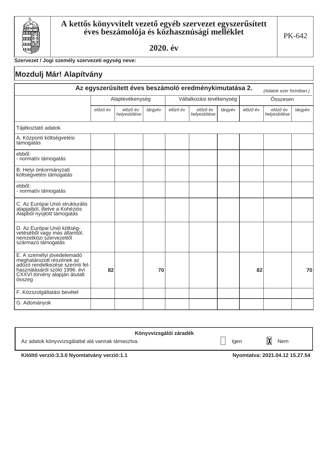

### Szervezet / Jogi személy szervezeti egység neve:

## Mozdulj Már! Alapítvány

| Az egyszerűsített éves beszámoló eredménykimutatása 2.<br>(Adatok ezer forintban.)                                                                                      |          |                          |         |          |                          |         |          |                          |         |  |
|-------------------------------------------------------------------------------------------------------------------------------------------------------------------------|----------|--------------------------|---------|----------|--------------------------|---------|----------|--------------------------|---------|--|
|                                                                                                                                                                         |          | Alaptevékenység          |         |          | Vállalkozási tevékenység |         |          | Összesen                 |         |  |
|                                                                                                                                                                         | előző év | előző év<br>helyesbítése | tárgyév | előző év | előző év<br>helyesbítése | tárgyév | előző év | előző év<br>helyesbítése | tárgyév |  |
| Tájékoztató adatok                                                                                                                                                      |          |                          |         |          |                          |         |          |                          |         |  |
| A. Központi költségvetési<br>támogatás                                                                                                                                  |          |                          |         |          |                          |         |          |                          |         |  |
| ebből:<br>- normatív támogatás                                                                                                                                          |          |                          |         |          |                          |         |          |                          |         |  |
| B. Helyi önkormányzati<br>költségvetési támogatás                                                                                                                       |          |                          |         |          |                          |         |          |                          |         |  |
| ebből:<br>- normatív támogatás                                                                                                                                          |          |                          |         |          |                          |         |          |                          |         |  |
| C. Az Európai Unió strukturális<br>alapjaiból, illetve a Kohéziós<br>Alapból nyújtott támogatás                                                                         |          |                          |         |          |                          |         |          |                          |         |  |
| D. Az Európai Unió költség-<br>vetéséből vagy más államtól,<br>nemzetközi szervezettől<br>származó támogatás                                                            |          |                          |         |          |                          |         |          |                          |         |  |
| E. A személyi jövedelemadó<br>meghatározott részének az<br>adózó rendelkezése szerinti fel-<br>használásáról szóló 1996. évi<br>CXXVI.törvény alapján átutalt<br>összeg | 82       |                          | 70      |          |                          |         | 82       |                          | 70      |  |
| F. Közszolgáltatási bevétel                                                                                                                                             |          |                          |         |          |                          |         |          |                          |         |  |
| G. Adományok                                                                                                                                                            |          |                          |         |          |                          |         |          |                          |         |  |

| Könyvvizsgálói záradék                            |      |     |
|---------------------------------------------------|------|-----|
| Az adatok könyvvizsgálattal alá vannak támasztva. | laen | Nem |

Kitöltő verzió:3.3.0 Nyomtatvány verzió:1.1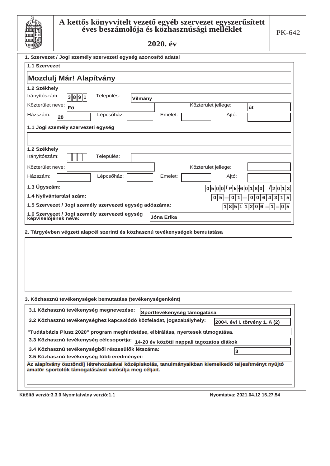

#### ${\bf A}$  kettős könyvvitelt vezető egyéb szervezet egyszerűsített éves beszámolója és közhasznúsági melléklet

2020. év

| ~سوءِ _~                                                                                                                                                      |                                                      |
|---------------------------------------------------------------------------------------------------------------------------------------------------------------|------------------------------------------------------|
| 1. Szervezet / Jogi személy szervezeti egység azonosító adatai                                                                                                |                                                      |
| 1.1 Szervezet                                                                                                                                                 |                                                      |
| Mozdulj Már! Alapítvány                                                                                                                                       |                                                      |
| 1.2 Székhely                                                                                                                                                  |                                                      |
| Irányítószám:<br>Település:<br>3 8 9 1<br>Vilmány                                                                                                             |                                                      |
| Közterület neve:<br>Fő                                                                                                                                        | Közterület jellege:<br>út                            |
| Lépcsőház:<br>Házszám:<br>Emelet:                                                                                                                             | Ajtó:                                                |
| 28                                                                                                                                                            |                                                      |
| 1.1 Jogi személy szervezeti egység                                                                                                                            |                                                      |
|                                                                                                                                                               |                                                      |
| 1.2 Székhely                                                                                                                                                  |                                                      |
| Irányítószám:<br>Település:                                                                                                                                   |                                                      |
| Közterület neve:                                                                                                                                              | Közterület jellege:                                  |
| Házszám:<br>Lépcsőház:<br>Emelet:                                                                                                                             | Ajtó:                                                |
| 1.3 Ügyszám:                                                                                                                                                  | $ 0 5 0 0 I P k \cdot 6 0 1 8 0 $<br>1 2 0 1 3       |
| 1.4 Nyilvántartási szám:                                                                                                                                      | 3<br>  6<br>$\bf{0}$<br>5<br>0<br>4<br>  1<br>0<br>0 |
| 1.5 Szervezet / Jogi személy szervezeti egység adószáma:                                                                                                      | $ 1 8 5 1 1 2 0 6 - 1 - 0 5$                         |
| 1.6 Szervezet / Jogi személy szervezeti egység                                                                                                                |                                                      |
| <b>Jóna Erika</b><br>képviselőjének neve:                                                                                                                     |                                                      |
| 2. Tárgyévben végzett alapcél szerinti és közhasznú tevékenységek bemutatása                                                                                  |                                                      |
|                                                                                                                                                               |                                                      |
|                                                                                                                                                               |                                                      |
|                                                                                                                                                               |                                                      |
|                                                                                                                                                               |                                                      |
|                                                                                                                                                               |                                                      |
|                                                                                                                                                               |                                                      |
|                                                                                                                                                               |                                                      |
| 3. Közhasznú tevékenységek bemutatása (tevékenységenként)                                                                                                     |                                                      |
| 3.1 Közhasznú tevékenység megnevezése:<br>Sporttevékenység támogatása                                                                                         |                                                      |
| 3.2 Közhasznú tevékenységhez kapcsolódó közfeladat, jogszabályhely:                                                                                           | 2004. évi I. törvény 1. § (2)                        |
| "Tudásbázis Plusz 2020" program meghirdetése, elbírálása, nyertesek támogatása.                                                                               |                                                      |
| 3.3 Közhasznú tevékenység célcsoportja: 14-20 év közötti nappali tagozatos diákok                                                                             |                                                      |
| 3.4 Közhasznú tevékenységből részesülők létszáma:                                                                                                             |                                                      |
| 3.5 Közhasznú tevékenység főbb eredményei:                                                                                                                    | 3                                                    |
| Az alapítvány ösztöndíj létrehozásával középiskolás, tanulmányaikban kiemelkedő teljesítményt nyújtó<br>amatőr sportolók támogatásával valósítja meg céljait. |                                                      |
|                                                                                                                                                               |                                                      |
|                                                                                                                                                               |                                                      |

Kitöltő verzió:3.3.0 Nyomtatvány verzió:1.1 **bese** a matematic verzió:3.3.0 Nyomtatva: 2021.04.12 15.27.54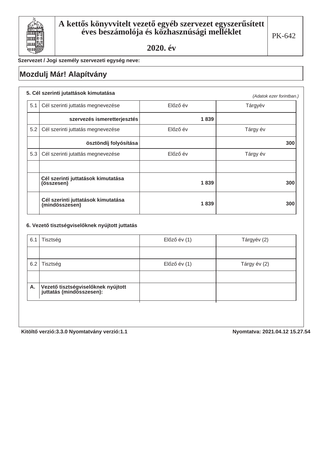

Szervezet / Jogi személy szervezeti egység neve:

## **Mozdulj Már! Alapítvány**

## **5. Cél szerinti jutattások kimutatása** *(Adatok ezer forintban.)* Előző év **alapította a Tárgyév** 5.2 | Cél szerinti juttatás megnevezése | Blőző év | Kargy év Tárgy év 5.3 Cél szerinti jutattás megnevezése  $\overline{a}$  Előző év  $\overline{a}$  Plózó év  $\overline{a}$  Tárgy év  $5.1$  Cél szerinti juttatás megnevezése **Cél szerinti juttatások kimutatása** (összesen) **Cél szerinti juttatások kimutatása**  $(mindösszesen)$ **Value Szervezés ismeretterjesztés** | ÖSZtöndíj folyósítása | Vallamir Vallamir Vallamir Vallamir Vallamir Vallamir Vallamir Vallamir Vallamir Vallamir<br>| Vallamir Vallamir Vallamir Vallamir Vallamir Vallamir Vallamir Vallamir Vallamir Vallamir Vallamir Valla  $\begin{array}{c|c} 1839 & 300 \end{array}$  $\begin{array}{c|c} 1839 & 300 \end{array}$

#### 6. Vezető tisztségviselőknek nyújtott juttatás

| 6.1 | Tisztség                                                         | Előző év (1) | Tárgyév (2)  |
|-----|------------------------------------------------------------------|--------------|--------------|
|     |                                                                  |              |              |
| 6.2 | Tisztség                                                         | Előző év (1) | Tárgy év (2) |
|     |                                                                  |              |              |
| Α.  | Vezető tisztségviselőknek nyújtott<br>  juttatás (mindösszesen): |              |              |
|     |                                                                  |              |              |

Kitöltő verzió:3.3.0 Nyomtatvány verzió:1.1 **bizterinden a magyar a magyar kitöltő verzió:3.3.0 Nyomtatvány** verzió:1.1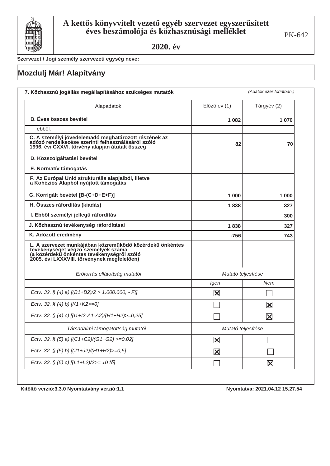

Szervezet / Jogi személy szervezeti egység neve:

# Mozdulj Már! Alapítvány

| Alapadatok                                                                                                                                                                                   | Előző év (1)            | Tárgyév (2)             |  |
|----------------------------------------------------------------------------------------------------------------------------------------------------------------------------------------------|-------------------------|-------------------------|--|
| <b>B. Eves összes bevétel</b>                                                                                                                                                                | 1 0 8 2                 | 1 070                   |  |
| ebből:                                                                                                                                                                                       |                         |                         |  |
| C. A személyi jövedelemadó meghatározott részének az<br>adózó rendelkezése szerinti felhasználásáról szóló<br>1996. évi CXXVI. törvény alapján átutalt összeg                                | 82                      | 70                      |  |
| D. Közszolgáltatási bevétel                                                                                                                                                                  |                         |                         |  |
| E. Normatív támogatás                                                                                                                                                                        |                         |                         |  |
| F. Az Európai Unió strukturális alapjaiból, illetve<br>a Kohéziós Alapból nyújtott támogatás                                                                                                 |                         |                         |  |
| G. Korrigált bevétel [B-(C+D+E+F)]                                                                                                                                                           | 1 000                   | 1 000                   |  |
| H. Összes ráfordítás (kiadás)                                                                                                                                                                | 1838                    | 327                     |  |
| I. Ebből személyi jellegű ráfordítás                                                                                                                                                         |                         | 300                     |  |
| J. Közhasznú tevékenység ráfordításai                                                                                                                                                        | 1838                    | 327                     |  |
| K. Adózott eredmény                                                                                                                                                                          | $-756$                  | 743                     |  |
| L. A szervezet munkájában közreműködő közérdekű önkéntes<br>tevékenységet végző személyek száma<br>(a közérdekű önkéntes tevékenységről szóló<br>2005. évi LXXXVIII. törvénynek megfelelően) |                         |                         |  |
| Erőforrás ellátottság mutatói                                                                                                                                                                | Mutató teljesítése      |                         |  |
|                                                                                                                                                                                              | Igen                    | Nem                     |  |
| Ectv. 32. § (4) a) $[(B1+B2)/2 > 1.000.000, -Ft]$                                                                                                                                            | $\vert\mathsf{X}\vert$  |                         |  |
| Ectv. 32. § (4) b) [K1+K2>=0]                                                                                                                                                                |                         | $ \mathsf{X} $          |  |
| Ectv. 32. § (4) c) [(11+12-A1-A2)/(H1+H2)>=0,25]                                                                                                                                             |                         | $\overline{\mathbf{x}}$ |  |
| Társadalmi támogatottság mutatói                                                                                                                                                             | Mutató teljesítése      |                         |  |
| Ectv. 32. § (5) a) [(C1+C2)/(G1+G2) >=0,02]                                                                                                                                                  | $\mathbf{\overline{X}}$ |                         |  |
| Ectv. 32. § (5) b) [(J1+J2)/(H1+H2)>=0,5]                                                                                                                                                    | $\overline{\mathbf{X}}$ |                         |  |
| Ectv. 32. § (5) c) [(L1+L2)/2>= 10 fő]                                                                                                                                                       |                         | $\overline{\mathbf{X}}$ |  |

Kitöltő verzió: 3.3.0 Nyomtatvány verzió: 1.1